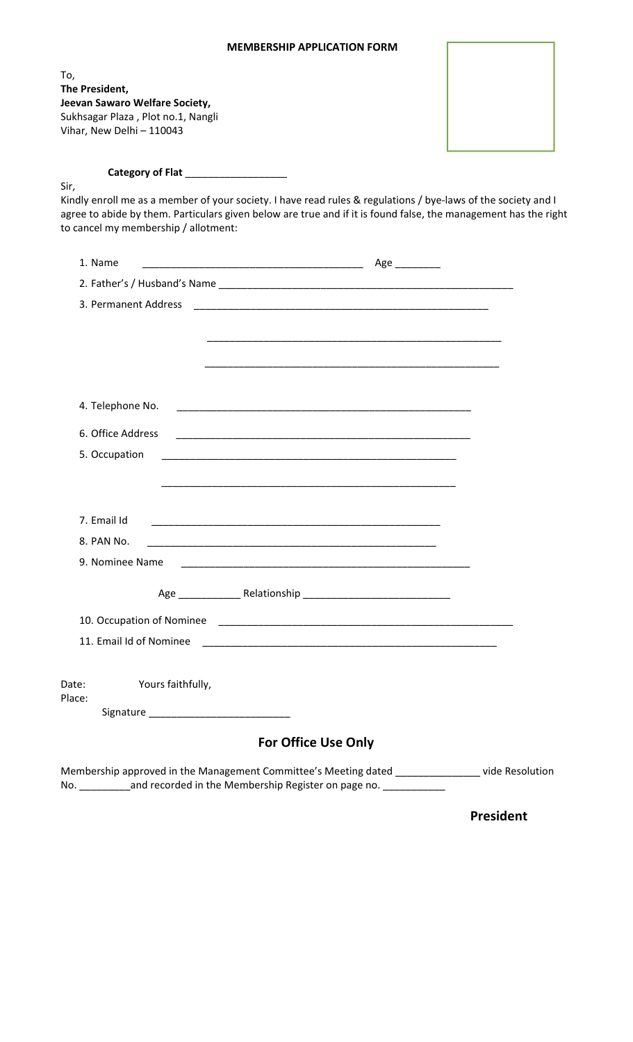## **MEMBERSHIP APPLICATION FORM**

| To,<br>The President,                |                                                                                                                       |  |
|--------------------------------------|-----------------------------------------------------------------------------------------------------------------------|--|
| Jeevan Sawaro Welfare Society,       |                                                                                                                       |  |
| Sukhsagar Plaza, Plot no.1, Nangli   |                                                                                                                       |  |
| Vihar, New Delhi - 110043            |                                                                                                                       |  |
|                                      |                                                                                                                       |  |
|                                      | Category of Flat ___________________                                                                                  |  |
| Sir,                                 | Kindly enroll me as a member of your society. I have read rules & regulations / bye-laws of the society and I         |  |
|                                      | agree to abide by them. Particulars given below are true and if it is found false, the management has the right       |  |
| to cancel my membership / allotment: |                                                                                                                       |  |
| 1. Name                              | Age __________                                                                                                        |  |
|                                      |                                                                                                                       |  |
| 3. Permanent Address                 |                                                                                                                       |  |
|                                      |                                                                                                                       |  |
|                                      |                                                                                                                       |  |
|                                      |                                                                                                                       |  |
|                                      |                                                                                                                       |  |
|                                      |                                                                                                                       |  |
| 4. Telephone No.                     |                                                                                                                       |  |
| 6. Office Address                    | <u> 1989 - Johann John Stoff, deutscher Stoffen und der Stoffen und der Stoffen und der Stoffen und der Stoffen u</u> |  |
| 5. Occupation                        | <u> 1989 - Johann John Harry, mars and deutscher Amerikaanse kommunister († 1908)</u>                                 |  |
|                                      |                                                                                                                       |  |
|                                      |                                                                                                                       |  |
|                                      |                                                                                                                       |  |
| 7. Email Id                          |                                                                                                                       |  |
| 8. PAN No.                           | <u> 1989 - Johann John Stoff, deutscher Stoffen und der Stoffen und der Stoffen und der Stoffen und der Stoffen</u>   |  |
| 9. Nominee Name                      |                                                                                                                       |  |
|                                      |                                                                                                                       |  |
|                                      |                                                                                                                       |  |
| 11. Email Id of Nominee              |                                                                                                                       |  |
|                                      |                                                                                                                       |  |
|                                      |                                                                                                                       |  |
| Yours faithfully,<br>Date:<br>Place: |                                                                                                                       |  |
|                                      |                                                                                                                       |  |
|                                      |                                                                                                                       |  |
|                                      | <b>For Office Use Only</b>                                                                                            |  |
|                                      | Membership approved in the Management Committee's Meeting dated _______________ vide Resolution                       |  |

No. \_\_\_\_\_\_\_\_\_\_\_and recorded in the Membership Register on page no. \_\_\_\_\_\_\_\_\_\_\_\_\_

**President**